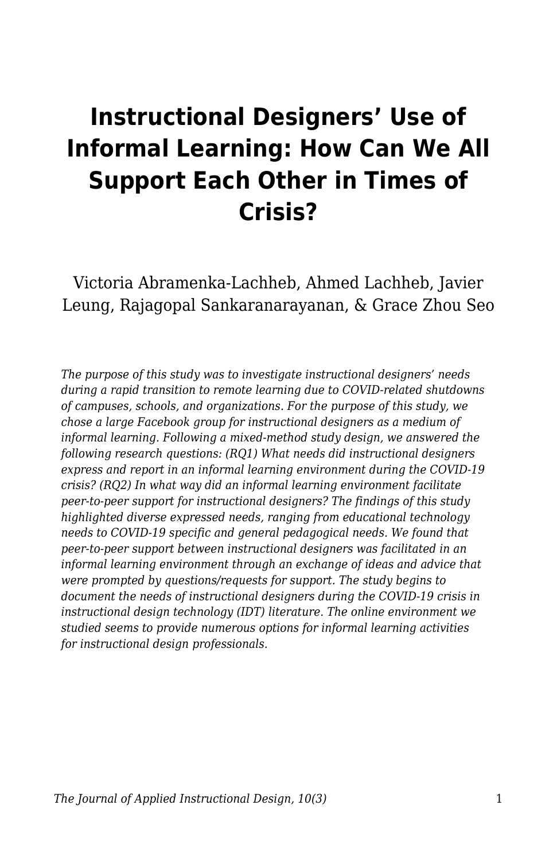# **Instructional Designers' Use of Informal Learning: How Can We All Support Each Other in Times of Crisis?**

Victoria Abramenka-Lachheb, Ahmed Lachheb, Javier Leung, Rajagopal Sankaranarayanan, & Grace Zhou Seo

*The purpose of this study was to investigate instructional designers' needs during a rapid transition to remote learning due to COVID-related shutdowns of campuses, schools, and organizations. For the purpose of this study, we chose a large Facebook group for instructional designers as a medium of informal learning. Following a mixed-method study design, we answered the following research questions: (RQ1) What needs did instructional designers express and report in an informal learning environment during the COVID-19 crisis? (RQ2) In what way did an informal learning environment facilitate peer-to-peer support for instructional designers? The findings of this study highlighted diverse expressed needs, ranging from educational technology needs to COVID-19 specific and general pedagogical needs. We found that peer-to-peer support between instructional designers was facilitated in an informal learning environment through an exchange of ideas and advice that were prompted by questions/requests for support. The study begins to document the needs of instructional designers during the COVID-19 crisis in instructional design technology (IDT) literature. The online environment we studied seems to provide numerous options for informal learning activities for instructional design professionals.*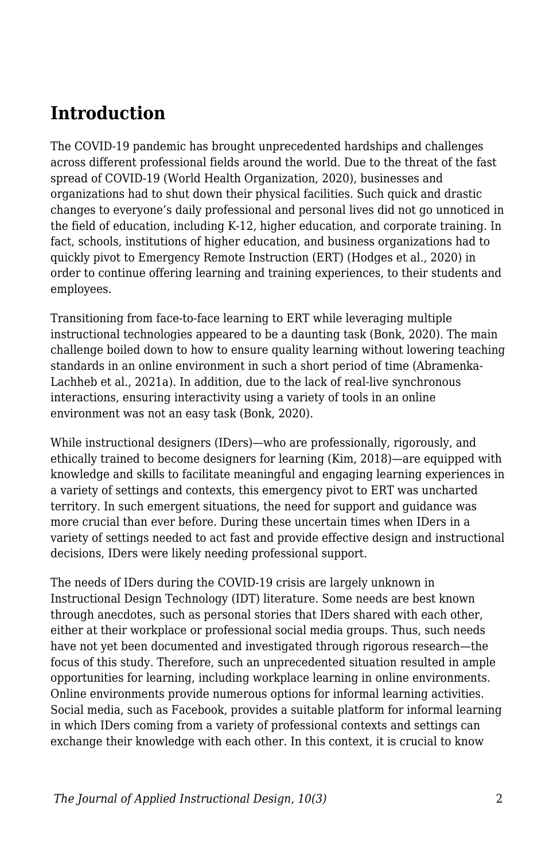## **Introduction**

The COVID-19 pandemic has brought unprecedented hardships and challenges across different professional fields around the world. Due to the threat of the fast spread of COVID-19 (World Health Organization, 2020), businesses and organizations had to shut down their physical facilities. Such quick and drastic changes to everyone's daily professional and personal lives did not go unnoticed in the field of education, including K-12, higher education, and corporate training. In fact, schools, institutions of higher education, and business organizations had to quickly pivot to Emergency Remote Instruction (ERT) (Hodges et al., 2020) in order to continue offering learning and training experiences, to their students and employees.

Transitioning from face-to-face learning to ERT while leveraging multiple instructional technologies appeared to be a daunting task (Bonk, 2020). The main challenge boiled down to how to ensure quality learning without lowering teaching standards in an online environment in such a short period of time (Abramenka-Lachheb et al., 2021a). In addition, due to the lack of real-live synchronous interactions, ensuring interactivity using a variety of tools in an online environment was not an easy task (Bonk, 2020).

While instructional designers (IDers)—who are professionally, rigorously, and ethically trained to become designers for learning (Kim, 2018)—are equipped with knowledge and skills to facilitate meaningful and engaging learning experiences in a variety of settings and contexts, this emergency pivot to ERT was uncharted territory. In such emergent situations, the need for support and guidance was more crucial than ever before. During these uncertain times when IDers in a variety of settings needed to act fast and provide effective design and instructional decisions, IDers were likely needing professional support.

The needs of IDers during the COVID-19 crisis are largely unknown in Instructional Design Technology (IDT) literature. Some needs are best known through anecdotes, such as personal stories that IDers shared with each other, either at their workplace or professional social media groups. Thus, such needs have not yet been documented and investigated through rigorous research—the focus of this study. Therefore, such an unprecedented situation resulted in ample opportunities for learning, including workplace learning in online environments. Online environments provide numerous options for informal learning activities. Social media, such as Facebook, provides a suitable platform for informal learning in which IDers coming from a variety of professional contexts and settings can exchange their knowledge with each other. In this context, it is crucial to know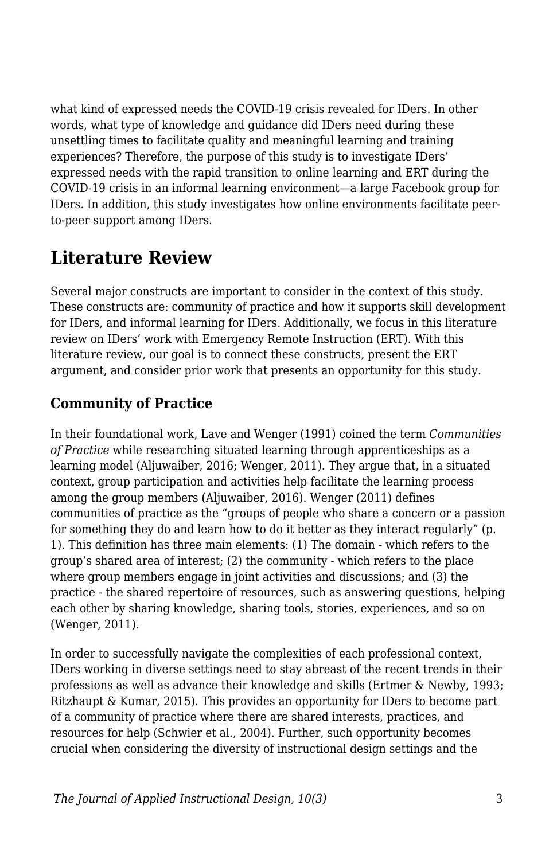what kind of expressed needs the COVID-19 crisis revealed for IDers. In other words, what type of knowledge and guidance did IDers need during these unsettling times to facilitate quality and meaningful learning and training experiences? Therefore, the purpose of this study is to investigate IDers' expressed needs with the rapid transition to online learning and ERT during the COVID-19 crisis in an informal learning environment—a large Facebook group for IDers. In addition, this study investigates how online environments facilitate peerto-peer support among IDers.

## **Literature Review**

Several major constructs are important to consider in the context of this study. These constructs are: community of practice and how it supports skill development for IDers, and informal learning for IDers. Additionally, we focus in this literature review on IDers' work with Emergency Remote Instruction (ERT). With this literature review, our goal is to connect these constructs, present the ERT argument, and consider prior work that presents an opportunity for this study.

### **Community of Practice**

In their foundational work, Lave and Wenger (1991) coined the term *Communities of Practice* while researching situated learning through apprenticeships as a learning model (Aljuwaiber, 2016; Wenger, 2011). They argue that, in a situated context, group participation and activities help facilitate the learning process among the group members (Aljuwaiber, 2016). Wenger (2011) defines communities of practice as the "groups of people who share a concern or a passion for something they do and learn how to do it better as they interact regularly" (p. 1). This definition has three main elements: (1) The domain - which refers to the group's shared area of interest; (2) the community - which refers to the place where group members engage in joint activities and discussions; and (3) the practice - the shared repertoire of resources, such as answering questions, helping each other by sharing knowledge, sharing tools, stories, experiences, and so on (Wenger, 2011).

In order to successfully navigate the complexities of each professional context, IDers working in diverse settings need to stay abreast of the recent trends in their professions as well as advance their knowledge and skills (Ertmer & Newby, 1993; Ritzhaupt & Kumar, 2015). This provides an opportunity for IDers to become part of a community of practice where there are shared interests, practices, and resources for help (Schwier et al., 2004). Further, such opportunity becomes crucial when considering the diversity of instructional design settings and the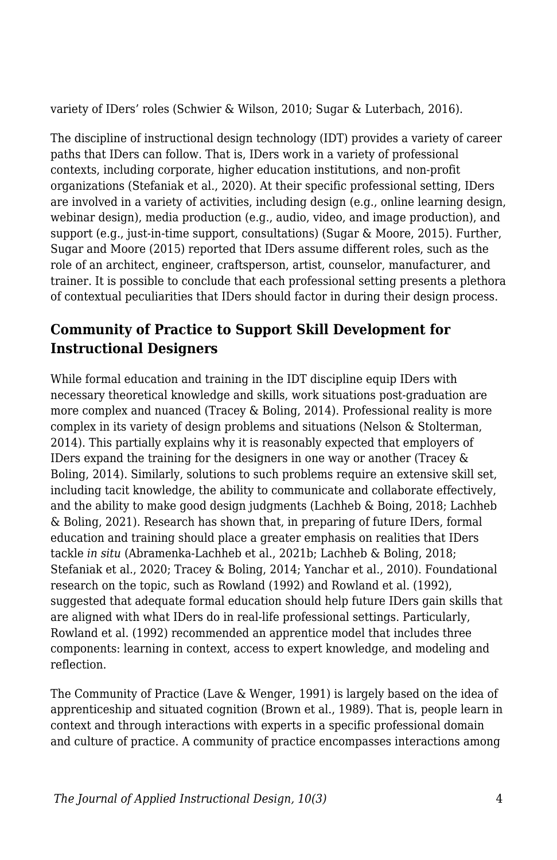variety of IDers' roles (Schwier & Wilson, 2010; Sugar & Luterbach, 2016).

The discipline of instructional design technology (IDT) provides a variety of career paths that IDers can follow. That is, IDers work in a variety of professional contexts, including corporate, higher education institutions, and non-profit organizations (Stefaniak et al., 2020). At their specific professional setting, IDers are involved in a variety of activities, including design (e.g., online learning design, webinar design), media production (e.g., audio, video, and image production), and support (e.g., just-in-time support, consultations) (Sugar & Moore, 2015). Further, Sugar and Moore (2015) reported that IDers assume different roles, such as the role of an architect, engineer, craftsperson, artist, counselor, manufacturer, and trainer. It is possible to conclude that each professional setting presents a plethora of contextual peculiarities that IDers should factor in during their design process.

### **Community of Practice to Support Skill Development for Instructional Designers**

While formal education and training in the IDT discipline equip IDers with necessary theoretical knowledge and skills, work situations post-graduation are more complex and nuanced (Tracey & Boling, 2014). Professional reality is more complex in its variety of design problems and situations (Nelson & Stolterman, 2014). This partially explains why it is reasonably expected that employers of IDers expand the training for the designers in one way or another (Tracey & Boling, 2014). Similarly, solutions to such problems require an extensive skill set, including tacit knowledge, the ability to communicate and collaborate effectively, and the ability to make good design judgments (Lachheb & Boing, 2018; Lachheb & Boling, 2021). Research has shown that, in preparing of future IDers, formal education and training should place a greater emphasis on realities that IDers tackle *in situ* (Abramenka-Lachheb et al., 2021b; Lachheb & Boling, 2018; Stefaniak et al., 2020; Tracey & Boling, 2014; Yanchar et al., 2010). Foundational research on the topic, such as Rowland (1992) and Rowland et al. (1992), suggested that adequate formal education should help future IDers gain skills that are aligned with what IDers do in real-life professional settings. Particularly, Rowland et al. (1992) recommended an apprentice model that includes three components: learning in context, access to expert knowledge, and modeling and reflection.

The Community of Practice (Lave & Wenger, 1991) is largely based on the idea of apprenticeship and situated cognition (Brown et al., 1989). That is, people learn in context and through interactions with experts in a specific professional domain and culture of practice. A community of practice encompasses interactions among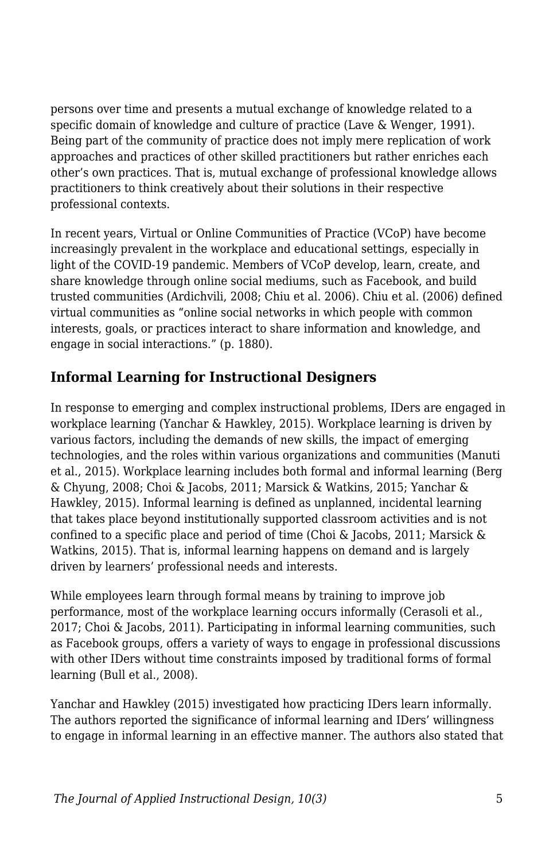persons over time and presents a mutual exchange of knowledge related to a specific domain of knowledge and culture of practice (Lave & Wenger, 1991). Being part of the community of practice does not imply mere replication of work approaches and practices of other skilled practitioners but rather enriches each other's own practices. That is, mutual exchange of professional knowledge allows practitioners to think creatively about their solutions in their respective professional contexts.

In recent years, Virtual or Online Communities of Practice (VCoP) have become increasingly prevalent in the workplace and educational settings, especially in light of the COVID-19 pandemic. Members of VCoP develop, learn, create, and share knowledge through online social mediums, such as Facebook, and build trusted communities (Ardichvili, 2008; Chiu et al. 2006). Chiu et al. (2006) defined virtual communities as "online social networks in which people with common interests, goals, or practices interact to share information and knowledge, and engage in social interactions." (p. 1880).

### **Informal Learning for Instructional Designers**

In response to emerging and complex instructional problems, IDers are engaged in workplace learning (Yanchar & Hawkley, 2015). Workplace learning is driven by various factors, including the demands of new skills, the impact of emerging technologies, and the roles within various organizations and communities (Manuti et al., 2015). Workplace learning includes both formal and informal learning (Berg & Chyung, 2008; Choi & Jacobs, 2011; Marsick & Watkins, 2015; Yanchar & Hawkley, 2015). Informal learning is defined as unplanned, incidental learning that takes place beyond institutionally supported classroom activities and is not confined to a specific place and period of time (Choi & Jacobs, 2011; Marsick & Watkins, 2015). That is, informal learning happens on demand and is largely driven by learners' professional needs and interests.

While employees learn through formal means by training to improve job performance, most of the workplace learning occurs informally (Cerasoli et al., 2017; Choi & Jacobs, 2011). Participating in informal learning communities, such as Facebook groups, offers a variety of ways to engage in professional discussions with other IDers without time constraints imposed by traditional forms of formal learning (Bull et al., 2008).

Yanchar and Hawkley (2015) investigated how practicing IDers learn informally. The authors reported the significance of informal learning and IDers' willingness to engage in informal learning in an effective manner. The authors also stated that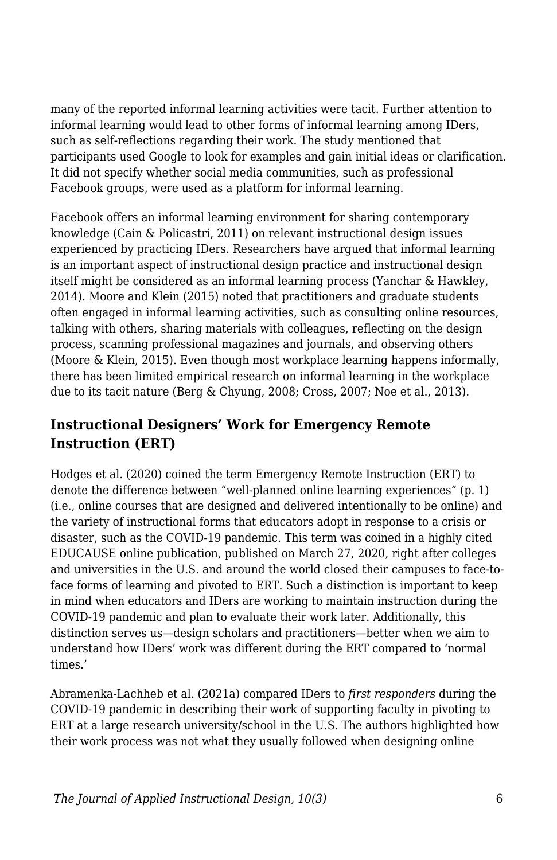many of the reported informal learning activities were tacit. Further attention to informal learning would lead to other forms of informal learning among IDers, such as self-reflections regarding their work. The study mentioned that participants used Google to look for examples and gain initial ideas or clarification. It did not specify whether social media communities, such as professional Facebook groups, were used as a platform for informal learning.

Facebook offers an informal learning environment for sharing contemporary knowledge (Cain & Policastri, 2011) on relevant instructional design issues experienced by practicing IDers. Researchers have argued that informal learning is an important aspect of instructional design practice and instructional design itself might be considered as an informal learning process (Yanchar & Hawkley, 2014). Moore and Klein (2015) noted that practitioners and graduate students often engaged in informal learning activities, such as consulting online resources, talking with others, sharing materials with colleagues, reflecting on the design process, scanning professional magazines and journals, and observing others (Moore & Klein, 2015). Even though most workplace learning happens informally, there has been limited empirical research on informal learning in the workplace due to its tacit nature (Berg & Chyung, 2008; Cross, 2007; Noe et al., 2013).

### **Instructional Designers' Work for Emergency Remote Instruction (ERT)**

Hodges et al. (2020) coined the term Emergency Remote Instruction (ERT) to denote the difference between "well-planned online learning experiences" (p. 1) (i.e., online courses that are designed and delivered intentionally to be online) and the variety of instructional forms that educators adopt in response to a crisis or disaster, such as the COVID-19 pandemic. This term was coined in a highly cited EDUCAUSE online publication, published on March 27, 2020, right after colleges and universities in the U.S. and around the world closed their campuses to face-toface forms of learning and pivoted to ERT. Such a distinction is important to keep in mind when educators and IDers are working to maintain instruction during the COVID-19 pandemic and plan to evaluate their work later. Additionally, this distinction serves us—design scholars and practitioners—better when we aim to understand how IDers' work was different during the ERT compared to 'normal times.'

Abramenka-Lachheb et al. (2021a) compared IDers to *first responders* during the COVID-19 pandemic in describing their work of supporting faculty in pivoting to ERT at a large research university/school in the U.S. The authors highlighted how their work process was not what they usually followed when designing online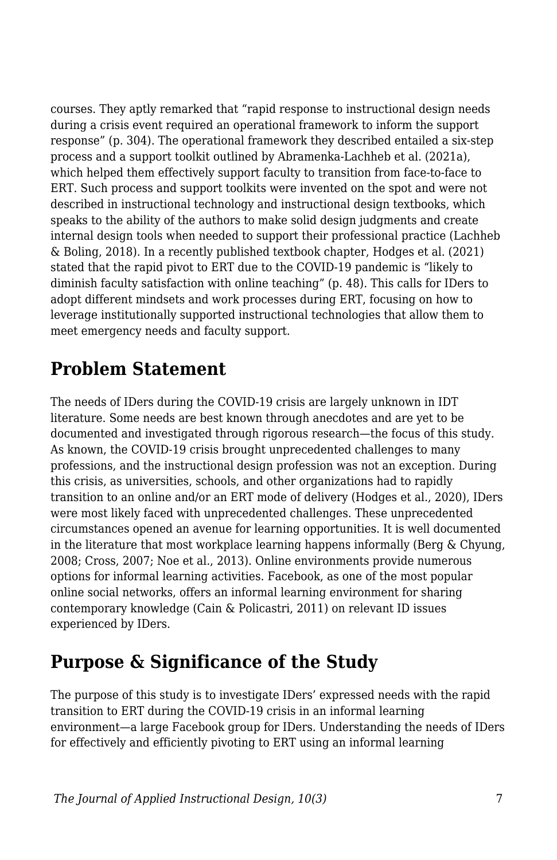courses. They aptly remarked that "rapid response to instructional design needs during a crisis event required an operational framework to inform the support response" (p. 304). The operational framework they described entailed a six-step process and a support toolkit outlined by Abramenka-Lachheb et al. (2021a), which helped them effectively support faculty to transition from face-to-face to ERT. Such process and support toolkits were invented on the spot and were not described in instructional technology and instructional design textbooks, which speaks to the ability of the authors to make solid design judgments and create internal design tools when needed to support their professional practice (Lachheb & Boling, 2018). In a recently published textbook chapter, Hodges et al. (2021) stated that the rapid pivot to ERT due to the COVID-19 pandemic is "likely to diminish faculty satisfaction with online teaching" (p. 48). This calls for IDers to adopt different mindsets and work processes during ERT, focusing on how to leverage institutionally supported instructional technologies that allow them to meet emergency needs and faculty support.

### **Problem Statement**

The needs of IDers during the COVID-19 crisis are largely unknown in IDT literature. Some needs are best known through anecdotes and are yet to be documented and investigated through rigorous research—the focus of this study. As known, the COVID-19 crisis brought unprecedented challenges to many professions, and the instructional design profession was not an exception. During this crisis, as universities, schools, and other organizations had to rapidly transition to an online and/or an ERT mode of delivery (Hodges et al., 2020), IDers were most likely faced with unprecedented challenges. These unprecedented circumstances opened an avenue for learning opportunities. It is well documented in the literature that most workplace learning happens informally (Berg & Chyung, 2008; Cross, 2007; Noe et al., 2013). Online environments provide numerous options for informal learning activities. Facebook, as one of the most popular online social networks, offers an informal learning environment for sharing contemporary knowledge (Cain & Policastri, 2011) on relevant ID issues experienced by IDers.

## **Purpose & Significance of the Study**

The purpose of this study is to investigate IDers' expressed needs with the rapid transition to ERT during the COVID-19 crisis in an informal learning environment—a large Facebook group for IDers. Understanding the needs of IDers for effectively and efficiently pivoting to ERT using an informal learning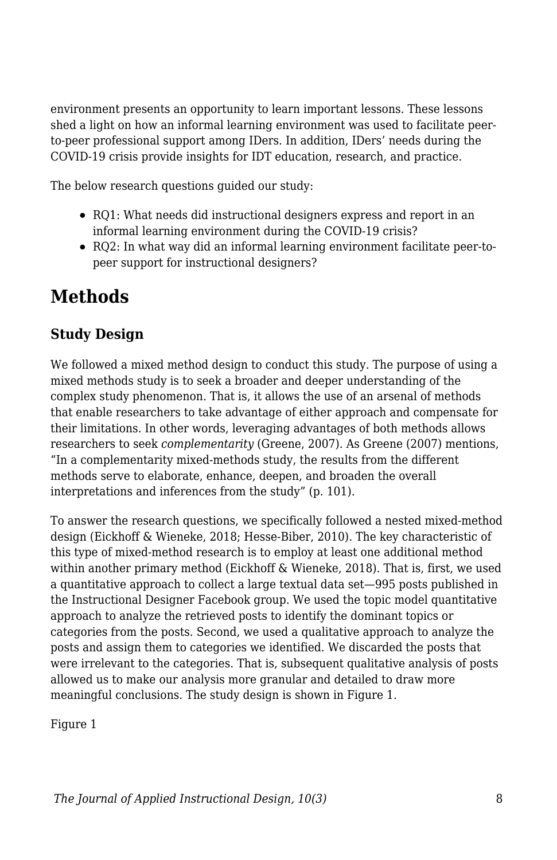environment presents an opportunity to learn important lessons. These lessons shed a light on how an informal learning environment was used to facilitate peerto-peer professional support among IDers. In addition, IDers' needs during the COVID-19 crisis provide insights for IDT education, research, and practice.

The below research questions guided our study:

- RQ1: What needs did instructional designers express and report in an informal learning environment during the COVID-19 crisis?
- RQ2: In what way did an informal learning environment facilitate peer-topeer support for instructional designers?

## **Methods**

### **Study Design**

We followed a mixed method design to conduct this study. The purpose of using a mixed methods study is to seek a broader and deeper understanding of the complex study phenomenon. That is, it allows the use of an arsenal of methods that enable researchers to take advantage of either approach and compensate for their limitations. In other words, leveraging advantages of both methods allows researchers to seek *complementarity* (Greene, 2007). As Greene (2007) mentions, "In a complementarity mixed-methods study, the results from the different methods serve to elaborate, enhance, deepen, and broaden the overall interpretations and inferences from the study" (p. 101).

To answer the research questions, we specifically followed a nested mixed-method design (Eickhoff & Wieneke, 2018; Hesse-Biber, 2010). The key characteristic of this type of mixed-method research is to employ at least one additional method within another primary method (Eickhoff & Wieneke, 2018). That is, first, we used a quantitative approach to collect a large textual data set—995 posts published in the Instructional Designer Facebook group. We used the topic model quantitative approach to analyze the retrieved posts to identify the dominant topics or categories from the posts. Second, we used a qualitative approach to analyze the posts and assign them to categories we identified. We discarded the posts that were irrelevant to the categories. That is, subsequent qualitative analysis of posts allowed us to make our analysis more granular and detailed to draw more meaningful conclusions. The study design is shown in Figure 1.

Figure 1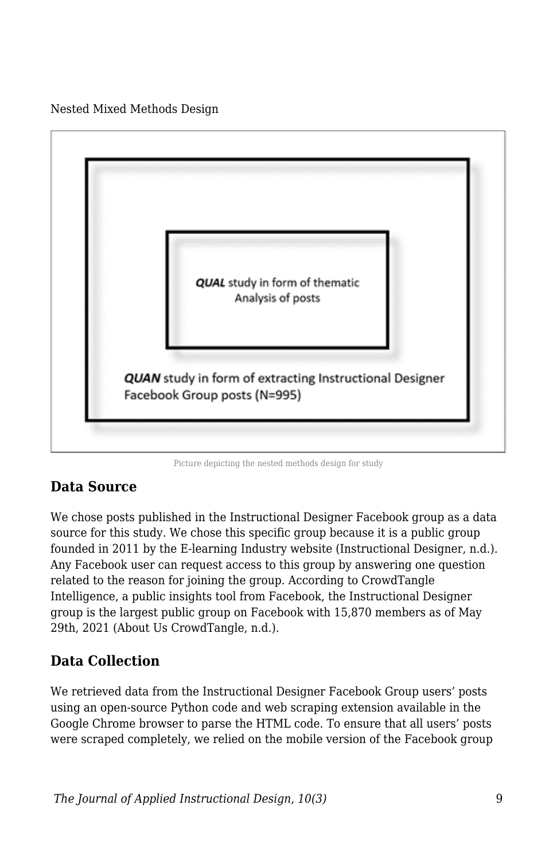Nested Mixed Methods Design



Picture depicting the nested methods design for study

### **Data Source**

We chose posts published in the Instructional Designer Facebook group as a data source for this study. We chose this specific group because it is a public group founded in 2011 by the E-learning Industry website (Instructional Designer, n.d.). Any Facebook user can request access to this group by answering one question related to the reason for joining the group. According to CrowdTangle Intelligence, a public insights tool from Facebook, the Instructional Designer group is the largest public group on Facebook with 15,870 members as of May 29th, 2021 (About Us CrowdTangle, n.d.).

### **Data Collection**

We retrieved data from the Instructional Designer Facebook Group users' posts using an open-source Python code and web scraping extension available in the Google Chrome browser to parse the HTML code. To ensure that all users' posts were scraped completely, we relied on the mobile version of the Facebook group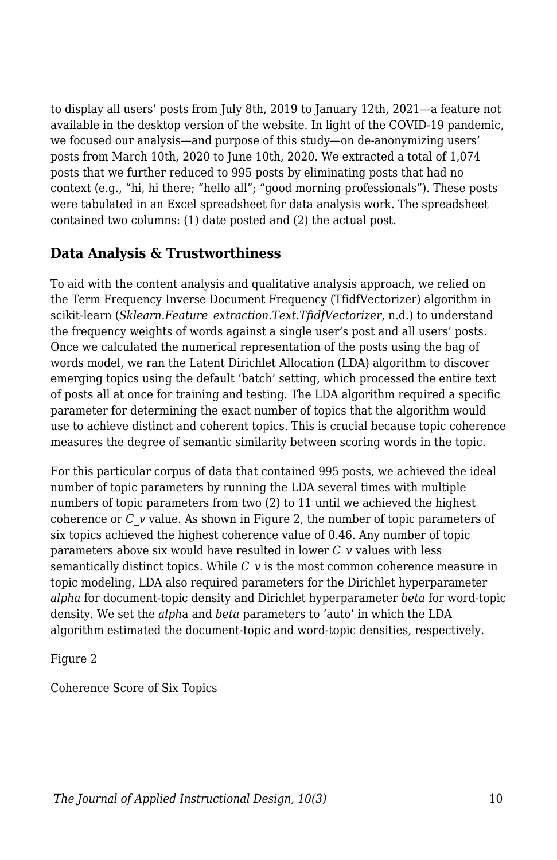to display all users' posts from July 8th, 2019 to January 12th, 2021—a feature not available in the desktop version of the website. In light of the COVID-19 pandemic, we focused our analysis—and purpose of this study—on de-anonymizing users' posts from March 10th, 2020 to June 10th, 2020. We extracted a total of 1,074 posts that we further reduced to 995 posts by eliminating posts that had no context (e.g., "hi, hi there; "hello all"; "good morning professionals"). These posts were tabulated in an Excel spreadsheet for data analysis work. The spreadsheet contained two columns: (1) date posted and (2) the actual post.

### **Data Analysis & Trustworthiness**

To aid with the content analysis and qualitative analysis approach, we relied on the Term Frequency Inverse Document Frequency (TfidfVectorizer) algorithm in scikit-learn (*Sklearn.Feature\_extraction.Text.TfidfVectorizer*, n.d.) to understand the frequency weights of words against a single user's post and all users' posts. Once we calculated the numerical representation of the posts using the bag of words model, we ran the Latent Dirichlet Allocation (LDA) algorithm to discover emerging topics using the default 'batch' setting, which processed the entire text of posts all at once for training and testing. The LDA algorithm required a specific parameter for determining the exact number of topics that the algorithm would use to achieve distinct and coherent topics. This is crucial because topic coherence measures the degree of semantic similarity between scoring words in the topic.

For this particular corpus of data that contained 995 posts, we achieved the ideal number of topic parameters by running the LDA several times with multiple numbers of topic parameters from two (2) to 11 until we achieved the highest coherence or *C\_v* value. As shown in Figure 2, the number of topic parameters of six topics achieved the highest coherence value of 0.46. Any number of topic parameters above six would have resulted in lower *C\_v* values with less semantically distinct topics. While *C\_v* is the most common coherence measure in topic modeling, LDA also required parameters for the Dirichlet hyperparameter *alpha* for document-topic density and Dirichlet hyperparameter *beta* for word-topic density. We set the *alph*a and *beta* parameters to 'auto' in which the LDA algorithm estimated the document-topic and word-topic densities, respectively.

Figure 2

Coherence Score of Six Topics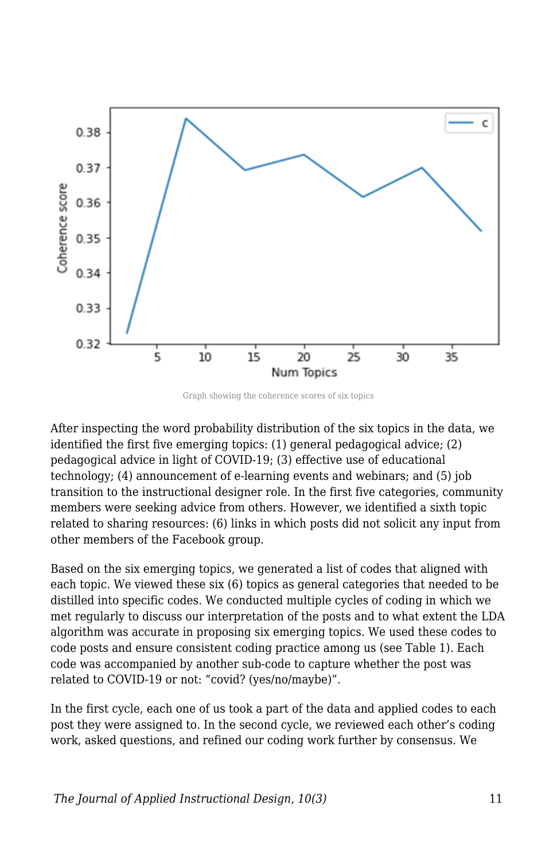

Graph showing the coherence scores of six topics

After inspecting the word probability distribution of the six topics in the data, we identified the first five emerging topics: (1) general pedagogical advice; (2) pedagogical advice in light of COVID-19; (3) effective use of educational technology; (4) announcement of e-learning events and webinars; and (5) job transition to the instructional designer role. In the first five categories, community members were seeking advice from others. However, we identified a sixth topic related to sharing resources: (6) links in which posts did not solicit any input from other members of the Facebook group.

Based on the six emerging topics, we generated a list of codes that aligned with each topic. We viewed these six (6) topics as general categories that needed to be distilled into specific codes. We conducted multiple cycles of coding in which we met regularly to discuss our interpretation of the posts and to what extent the LDA algorithm was accurate in proposing six emerging topics. We used these codes to code posts and ensure consistent coding practice among us (see Table 1). Each code was accompanied by another sub-code to capture whether the post was related to COVID-19 or not: "covid? (yes/no/maybe)".

In the first cycle, each one of us took a part of the data and applied codes to each post they were assigned to. In the second cycle, we reviewed each other's coding work, asked questions, and refined our coding work further by consensus. We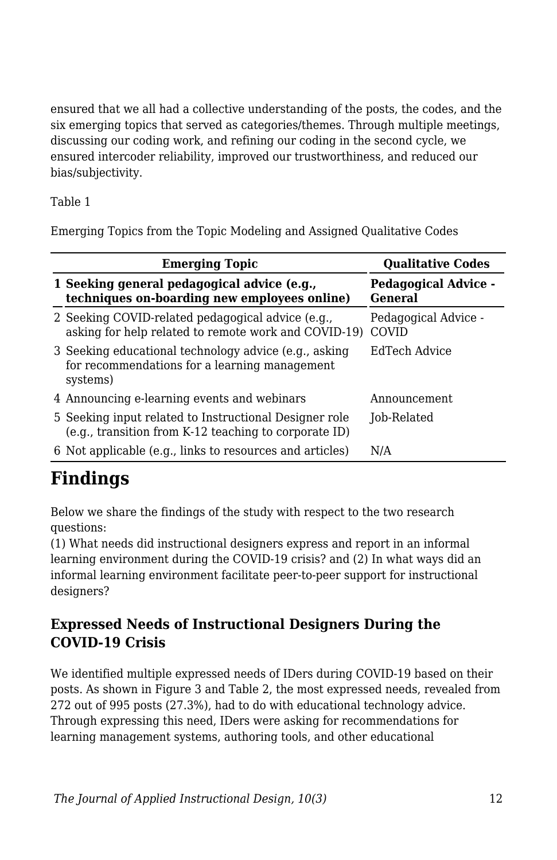ensured that we all had a collective understanding of the posts, the codes, and the six emerging topics that served as categories/themes. Through multiple meetings, discussing our coding work, and refining our coding in the second cycle, we ensured intercoder reliability, improved our trustworthiness, and reduced our bias/subjectivity.

Table 1

Emerging Topics from the Topic Modeling and Assigned Qualitative Codes

| <b>Emerging Topic</b>                                                                                              | <b>Oualitative Codes</b>               |
|--------------------------------------------------------------------------------------------------------------------|----------------------------------------|
| 1 Seeking general pedagogical advice (e.g.,<br>techniques on-boarding new employees online)                        | <b>Pedagogical Advice -</b><br>General |
| 2 Seeking COVID-related pedagogical advice (e.g.,<br>asking for help related to remote work and COVID-19)          | Pedagogical Advice -<br>COVID          |
| 3 Seeking educational technology advice (e.g., asking<br>for recommendations for a learning management<br>systems) | EdTech Advice                          |
| 4 Announcing e-learning events and webinars                                                                        | Announcement                           |
| 5 Seeking input related to Instructional Designer role<br>(e.g., transition from K-12 teaching to corporate ID)    | Job-Related                            |
| 6 Not applicable (e.g., links to resources and articles)                                                           | N/A                                    |

## **Findings**

Below we share the findings of the study with respect to the two research questions:

(1) What needs did instructional designers express and report in an informal learning environment during the COVID-19 crisis? and (2) In what ways did an informal learning environment facilitate peer-to-peer support for instructional designers?

### **Expressed Needs of Instructional Designers During the COVID-19 Crisis**

We identified multiple expressed needs of IDers during COVID-19 based on their posts. As shown in Figure 3 and Table 2, the most expressed needs, revealed from 272 out of 995 posts (27.3%), had to do with educational technology advice. Through expressing this need, IDers were asking for recommendations for learning management systems, authoring tools, and other educational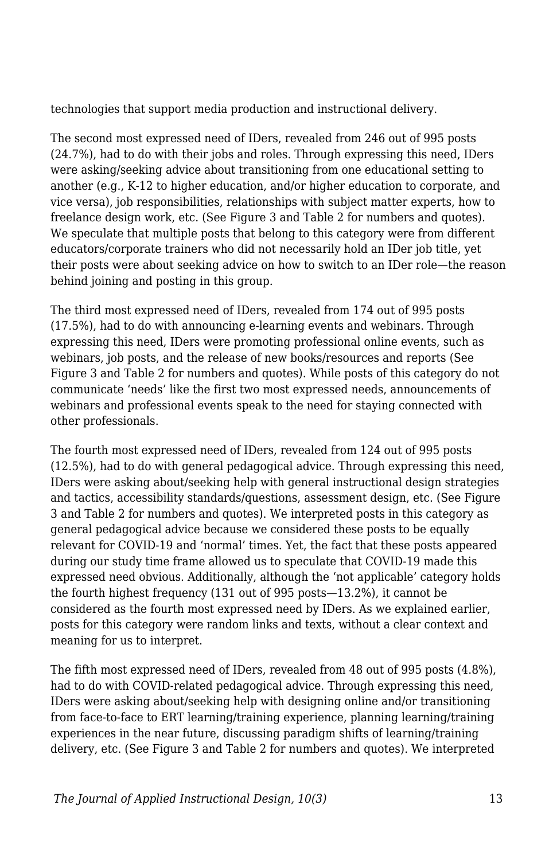technologies that support media production and instructional delivery.

The second most expressed need of IDers, revealed from 246 out of 995 posts (24.7%), had to do with their jobs and roles. Through expressing this need, IDers were asking/seeking advice about transitioning from one educational setting to another (e.g., K-12 to higher education, and/or higher education to corporate, and vice versa), job responsibilities, relationships with subject matter experts, how to freelance design work, etc. (See Figure 3 and Table 2 for numbers and quotes). We speculate that multiple posts that belong to this category were from different educators/corporate trainers who did not necessarily hold an IDer job title, yet their posts were about seeking advice on how to switch to an IDer role—the reason behind joining and posting in this group.

The third most expressed need of IDers, revealed from 174 out of 995 posts (17.5%), had to do with announcing e-learning events and webinars. Through expressing this need, IDers were promoting professional online events, such as webinars, job posts, and the release of new books/resources and reports (See Figure 3 and Table 2 for numbers and quotes). While posts of this category do not communicate 'needs' like the first two most expressed needs, announcements of webinars and professional events speak to the need for staying connected with other professionals.

The fourth most expressed need of IDers, revealed from 124 out of 995 posts (12.5%), had to do with general pedagogical advice. Through expressing this need, IDers were asking about/seeking help with general instructional design strategies and tactics, accessibility standards/questions, assessment design, etc. (See Figure 3 and Table 2 for numbers and quotes). We interpreted posts in this category as general pedagogical advice because we considered these posts to be equally relevant for COVID-19 and 'normal' times. Yet, the fact that these posts appeared during our study time frame allowed us to speculate that COVID-19 made this expressed need obvious. Additionally, although the 'not applicable' category holds the fourth highest frequency (131 out of 995 posts—13.2%), it cannot be considered as the fourth most expressed need by IDers. As we explained earlier, posts for this category were random links and texts, without a clear context and meaning for us to interpret.

The fifth most expressed need of IDers, revealed from 48 out of 995 posts (4.8%), had to do with COVID-related pedagogical advice. Through expressing this need, IDers were asking about/seeking help with designing online and/or transitioning from face-to-face to ERT learning/training experience, planning learning/training experiences in the near future, discussing paradigm shifts of learning/training delivery, etc. (See Figure 3 and Table 2 for numbers and quotes). We interpreted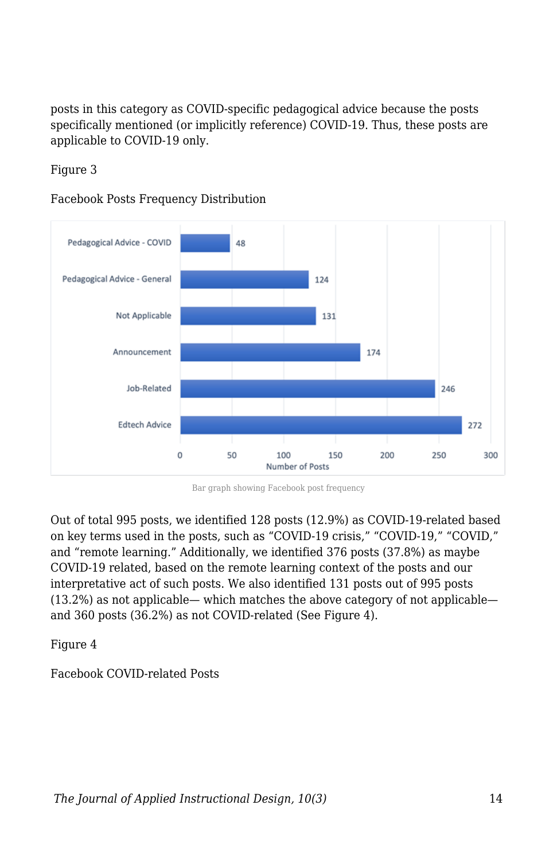posts in this category as COVID-specific pedagogical advice because the posts specifically mentioned (or implicitly reference) COVID-19. Thus, these posts are applicable to COVID-19 only.

Figure 3

Facebook Posts Frequency Distribution



Bar graph showing Facebook post frequency

Out of total 995 posts, we identified 128 posts (12.9%) as COVID-19-related based on key terms used in the posts, such as "COVID-19 crisis," "COVID-19," "COVID," and "remote learning." Additionally, we identified 376 posts (37.8%) as maybe COVID-19 related, based on the remote learning context of the posts and our interpretative act of such posts. We also identified 131 posts out of 995 posts (13.2%) as not applicable— which matches the above category of not applicable and 360 posts (36.2%) as not COVID-related (See Figure 4).

Figure 4

Facebook COVID-related Posts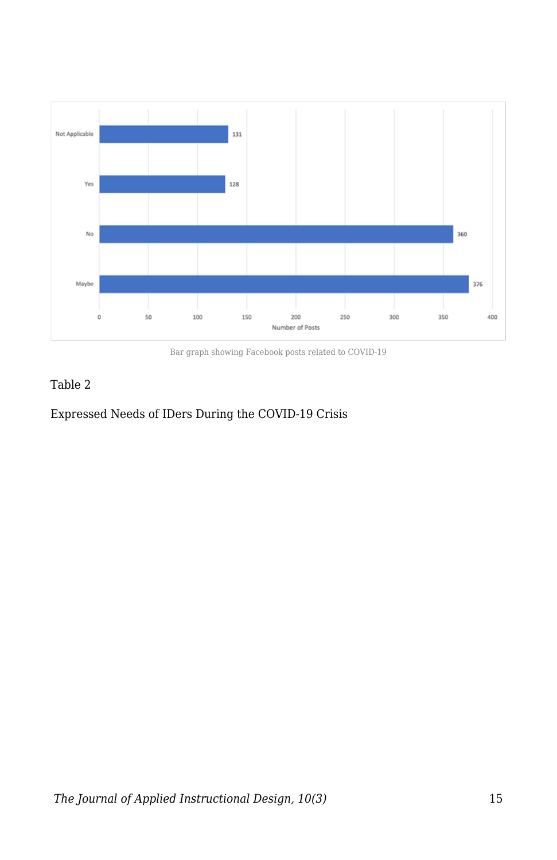

Bar graph showing Facebook posts related to COVID-19

#### Table 2

#### Expressed Needs of IDers During the COVID-19 Crisis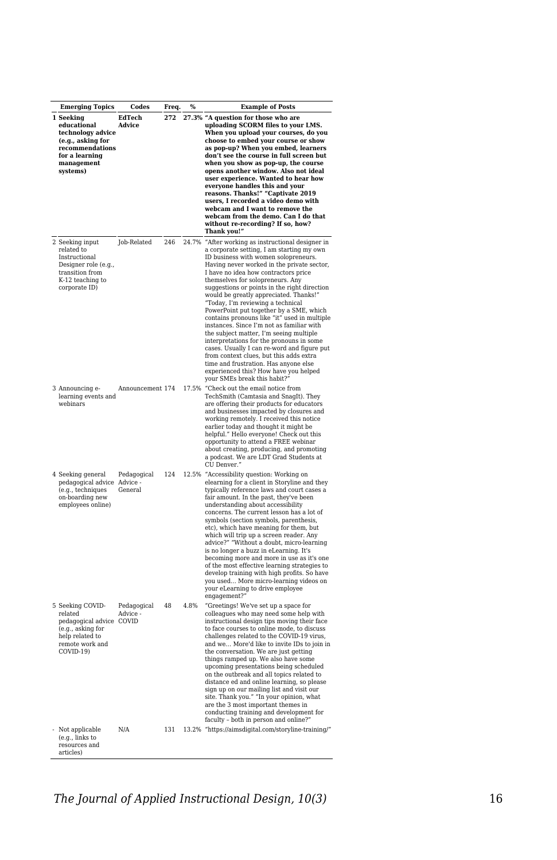| <b>Emerging Topics</b>                                                                                                            | Codes                            | Freq. | %     | <b>Example of Posts</b>                                                                                                                                                                                                                                                                                                                                                                                                                                                                                                                                                                                                                                                                                                                                                                                                                   |
|-----------------------------------------------------------------------------------------------------------------------------------|----------------------------------|-------|-------|-------------------------------------------------------------------------------------------------------------------------------------------------------------------------------------------------------------------------------------------------------------------------------------------------------------------------------------------------------------------------------------------------------------------------------------------------------------------------------------------------------------------------------------------------------------------------------------------------------------------------------------------------------------------------------------------------------------------------------------------------------------------------------------------------------------------------------------------|
| 1 Seeking<br>educational<br>technology advice<br>(e.g., asking for<br>recommendations<br>for a learning<br>management<br>systems) | EdTech<br>Advice                 | 272   |       | 27.3% "A question for those who are<br>uploading SCORM files to your LMS.<br>When you upload your courses, do you<br>choose to embed your course or show<br>as pop-up? When you embed, learners<br>don't see the course in full screen but<br>when you show as pop-up, the course<br>opens another window. Also not ideal<br>user experience. Wanted to hear how<br>everyone handles this and your<br>reasons. Thanks!" "Captivate 2019<br>users, I recorded a video demo with<br>webcam and I want to remove the<br>webcam from the demo. Can I do that<br>without re-recording? If so, how?<br>Thank you!"                                                                                                                                                                                                                              |
| 2 Seeking input<br>related to<br>Instructional<br>Designer role (e.g.,<br>transition from<br>K-12 teaching to<br>corporate ID)    | Job-Related                      | 246   |       | 24.7% "After working as instructional designer in<br>a corporate setting, I am starting my own<br>ID business with women solopreneurs.<br>Having never worked in the private sector,<br>I have no idea how contractors price<br>themselves for solopreneurs. Any<br>suggestions or points in the right direction<br>would be greatly appreciated. Thanks!"<br>"Today, I'm reviewing a technical<br>PowerPoint put together by a SME, which<br>contains pronouns like "it" used in multiple<br>instances. Since I'm not as familiar with<br>the subject matter, I'm seeing multiple<br>interpretations for the pronouns in some<br>cases. Usually I can re-word and figure put<br>from context clues, but this adds extra<br>time and frustration. Has anyone else<br>experienced this? How have you helped<br>your SMEs break this habit? |
| 3 Announcing e-<br>learning events and<br>webinars                                                                                | Announcement 174                 |       | 17.5% | "Check out the email notice from<br>TechSmith (Camtasia and SnagIt). They<br>are offering their products for educators<br>and businesses impacted by closures and<br>working remotely. I received this notice<br>earlier today and thought it might be<br>helpful." Hello everyone! Check out this<br>opportunity to attend a FREE webinar<br>about creating, producing, and promoting<br>a podcast. We are LDT Grad Students at<br>CU Denver.'                                                                                                                                                                                                                                                                                                                                                                                           |
| 4 Seeking general<br>pedagogical advice<br>(e.g., techniques<br>on-boarding new<br>employees online)                              | Pedagogical<br>Advice<br>General | 124   |       | 12.5% "Accessibility question: Working on<br>elearning for a client in Storyline and they<br>typically reference laws and court cases a<br>fair amount. In the past, they've been<br>understanding about accessibility<br>concerns. The current lesson has a lot of<br>symbols (section symbols, parenthesis,<br>etc), which have meaning for them, but<br>which will trip up a screen reader. Any<br>advice?" "Without a doubt, micro-learning<br>is no longer a buzz in eLearning. It's<br>becoming more and more in use as it's one<br>of the most effective learning strategies to<br>develop training with high profits. So have<br>you used More micro-learning videos on<br>your eLearning to drive employee<br>engagement?                                                                                                        |
| 5 Seeking COVID-<br>related<br>pedagogical advice COVID<br>(e.g., asking for<br>help related to<br>remote work and<br>COVID-19)   | Pedagogical<br>Advice -          | 48    | 4.8%  | "Greetings! We've set up a space for<br>colleagues who may need some help with<br>instructional design tips moving their face<br>to face courses to online mode, to discuss<br>challenges related to the COVID-19 virus,<br>and we More'd like to invite IDs to join in<br>the conversation. We are just getting<br>things ramped up. We also have some<br>upcoming presentations being scheduled<br>on the outbreak and all topics related to<br>distance ed and online learning, so please<br>sign up on our mailing list and visit our<br>site. Thank you." "In your opinion, what<br>are the 3 most important themes in<br>conducting training and development for<br>faculty - both in person and online?'                                                                                                                           |
| Not applicable<br>(e.g., links to<br>resources and<br>articles)                                                                   | N/A                              | 131   |       | 13.2% "https://aimsdigital.com/storyline-training/"                                                                                                                                                                                                                                                                                                                                                                                                                                                                                                                                                                                                                                                                                                                                                                                       |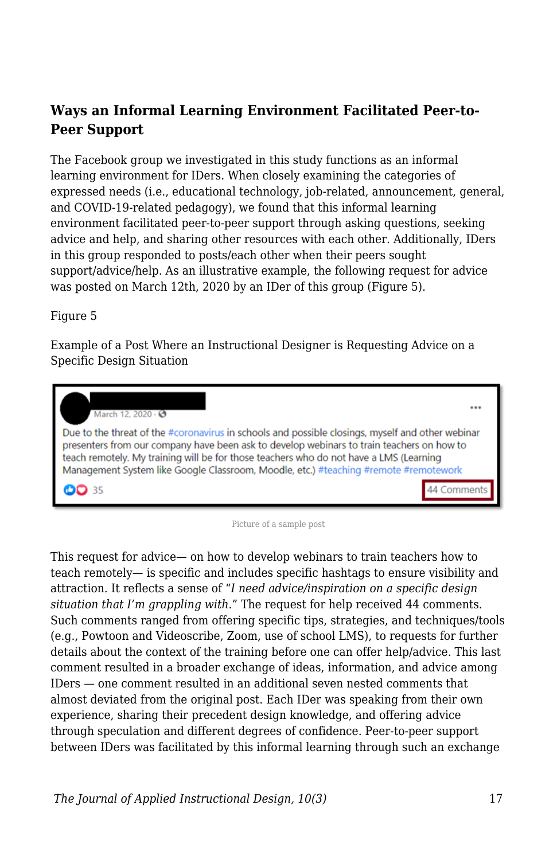### **Ways an Informal Learning Environment Facilitated Peer-to-Peer Support**

The Facebook group we investigated in this study functions as an informal learning environment for IDers. When closely examining the categories of expressed needs (i.e., educational technology, job-related, announcement, general, and COVID-19-related pedagogy), we found that this informal learning environment facilitated peer-to-peer support through asking questions, seeking advice and help, and sharing other resources with each other. Additionally, IDers in this group responded to posts/each other when their peers sought support/advice/help. As an illustrative example, the following request for advice was posted on March 12th, 2020 by an IDer of this group (Figure 5).

Figure 5

Example of a Post Where an Instructional Designer is Requesting Advice on a Specific Design Situation



Picture of a sample post

This request for advice— on how to develop webinars to train teachers how to teach remotely— is specific and includes specific hashtags to ensure visibility and attraction. It reflects a sense of "*I need advice/inspiration on a specific design situation that I'm grappling with*." The request for help received 44 comments. Such comments ranged from offering specific tips, strategies, and techniques/tools (e.g., Powtoon and Videoscribe, Zoom, use of school LMS), to requests for further details about the context of the training before one can offer help/advice. This last comment resulted in a broader exchange of ideas, information, and advice among IDers — one comment resulted in an additional seven nested comments that almost deviated from the original post. Each IDer was speaking from their own experience, sharing their precedent design knowledge, and offering advice through speculation and different degrees of confidence. Peer-to-peer support between IDers was facilitated by this informal learning through such an exchange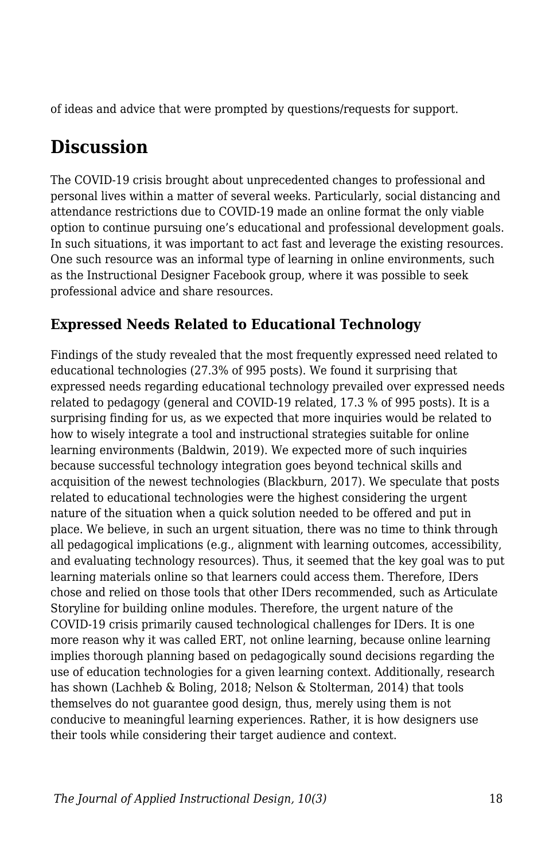of ideas and advice that were prompted by questions/requests for support.

## **Discussion**

The COVID-19 crisis brought about unprecedented changes to professional and personal lives within a matter of several weeks. Particularly, social distancing and attendance restrictions due to COVID-19 made an online format the only viable option to continue pursuing one's educational and professional development goals. In such situations, it was important to act fast and leverage the existing resources. One such resource was an informal type of learning in online environments, such as the Instructional Designer Facebook group, where it was possible to seek professional advice and share resources.

### **Expressed Needs Related to Educational Technology**

Findings of the study revealed that the most frequently expressed need related to educational technologies (27.3% of 995 posts). We found it surprising that expressed needs regarding educational technology prevailed over expressed needs related to pedagogy (general and COVID-19 related, 17.3 % of 995 posts). It is a surprising finding for us, as we expected that more inquiries would be related to how to wisely integrate a tool and instructional strategies suitable for online learning environments (Baldwin, 2019). We expected more of such inquiries because successful technology integration goes beyond technical skills and acquisition of the newest technologies (Blackburn, 2017). We speculate that posts related to educational technologies were the highest considering the urgent nature of the situation when a quick solution needed to be offered and put in place. We believe, in such an urgent situation, there was no time to think through all pedagogical implications (e.g., alignment with learning outcomes, accessibility, and evaluating technology resources). Thus, it seemed that the key goal was to put learning materials online so that learners could access them. Therefore, IDers chose and relied on those tools that other IDers recommended, such as Articulate Storyline for building online modules. Therefore, the urgent nature of the COVID-19 crisis primarily caused technological challenges for IDers. It is one more reason why it was called ERT, not online learning, because online learning implies thorough planning based on pedagogically sound decisions regarding the use of education technologies for a given learning context. Additionally, research has shown (Lachheb & Boling, 2018; Nelson & Stolterman, 2014) that tools themselves do not guarantee good design, thus, merely using them is not conducive to meaningful learning experiences. Rather, it is how designers use their tools while considering their target audience and context.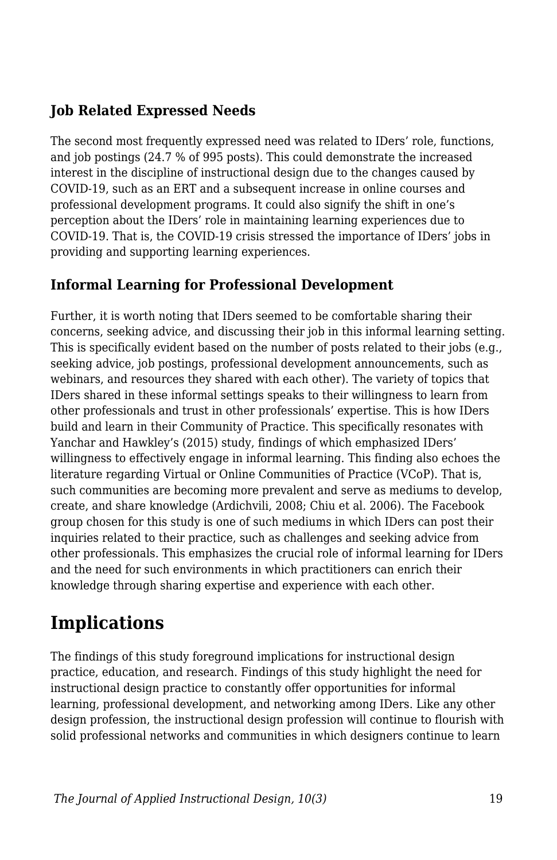### **Job Related Expressed Needs**

The second most frequently expressed need was related to IDers' role, functions, and job postings (24.7 % of 995 posts). This could demonstrate the increased interest in the discipline of instructional design due to the changes caused by COVID-19, such as an ERT and a subsequent increase in online courses and professional development programs. It could also signify the shift in one's perception about the IDers' role in maintaining learning experiences due to COVID-19. That is, the COVID-19 crisis stressed the importance of IDers' jobs in providing and supporting learning experiences.

### **Informal Learning for Professional Development**

Further, it is worth noting that IDers seemed to be comfortable sharing their concerns, seeking advice, and discussing their job in this informal learning setting. This is specifically evident based on the number of posts related to their jobs (e.g., seeking advice, job postings, professional development announcements, such as webinars, and resources they shared with each other). The variety of topics that IDers shared in these informal settings speaks to their willingness to learn from other professionals and trust in other professionals' expertise. This is how IDers build and learn in their Community of Practice. This specifically resonates with Yanchar and Hawkley's (2015) study, findings of which emphasized IDers' willingness to effectively engage in informal learning. This finding also echoes the literature regarding Virtual or Online Communities of Practice (VCoP). That is, such communities are becoming more prevalent and serve as mediums to develop, create, and share knowledge (Ardichvili, 2008; Chiu et al. 2006). The Facebook group chosen for this study is one of such mediums in which IDers can post their inquiries related to their practice, such as challenges and seeking advice from other professionals. This emphasizes the crucial role of informal learning for IDers and the need for such environments in which practitioners can enrich their knowledge through sharing expertise and experience with each other.

## **Implications**

The findings of this study foreground implications for instructional design practice, education, and research. Findings of this study highlight the need for instructional design practice to constantly offer opportunities for informal learning, professional development, and networking among IDers. Like any other design profession, the instructional design profession will continue to flourish with solid professional networks and communities in which designers continue to learn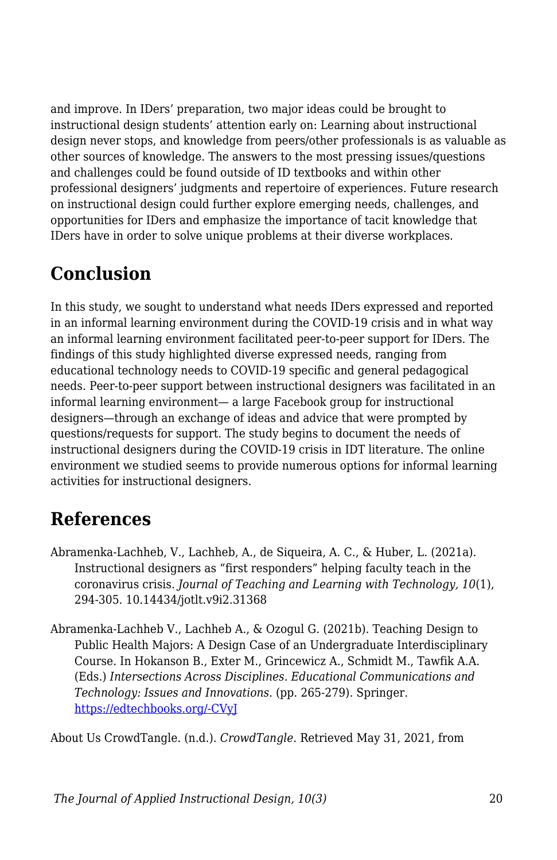and improve. In IDers' preparation, two major ideas could be brought to instructional design students' attention early on: Learning about instructional design never stops, and knowledge from peers/other professionals is as valuable as other sources of knowledge. The answers to the most pressing issues/questions and challenges could be found outside of ID textbooks and within other professional designers' judgments and repertoire of experiences. Future research on instructional design could further explore emerging needs, challenges, and opportunities for IDers and emphasize the importance of tacit knowledge that IDers have in order to solve unique problems at their diverse workplaces.

## **Conclusion**

In this study, we sought to understand what needs IDers expressed and reported in an informal learning environment during the COVID-19 crisis and in what way an informal learning environment facilitated peer-to-peer support for IDers. The findings of this study highlighted diverse expressed needs, ranging from educational technology needs to COVID-19 specific and general pedagogical needs. Peer-to-peer support between instructional designers was facilitated in an informal learning environment— a large Facebook group for instructional designers—through an exchange of ideas and advice that were prompted by questions/requests for support. The study begins to document the needs of instructional designers during the COVID-19 crisis in IDT literature. The online environment we studied seems to provide numerous options for informal learning activities for instructional designers.

## **References**

- Abramenka-Lachheb, V., Lachheb, A., de Siqueira, A. C., & Huber, L. (2021a). Instructional designers as "first responders" helping faculty teach in the coronavirus crisis. *Journal of Teaching and Learning with Technology, 10*(1), 294-305. 10.14434/jotlt.v9i2.31368
- Abramenka-Lachheb V., Lachheb A., & Ozogul G. (2021b). Teaching Design to Public Health Majors: A Design Case of an Undergraduate Interdisciplinary Course. In Hokanson B., Exter M., Grincewicz A., Schmidt M., Tawfik A.A. (Eds.) *Intersections Across Disciplines. Educational Communications and Technology: Issues and Innovations*. (pp. 265-279). Springer. [https://edtechbooks.org/-CVyJ](https://doi.org/10.1007/978-3-030-53875-0_21)

About Us CrowdTangle. (n.d.). *CrowdTangle*. Retrieved May 31, 2021, from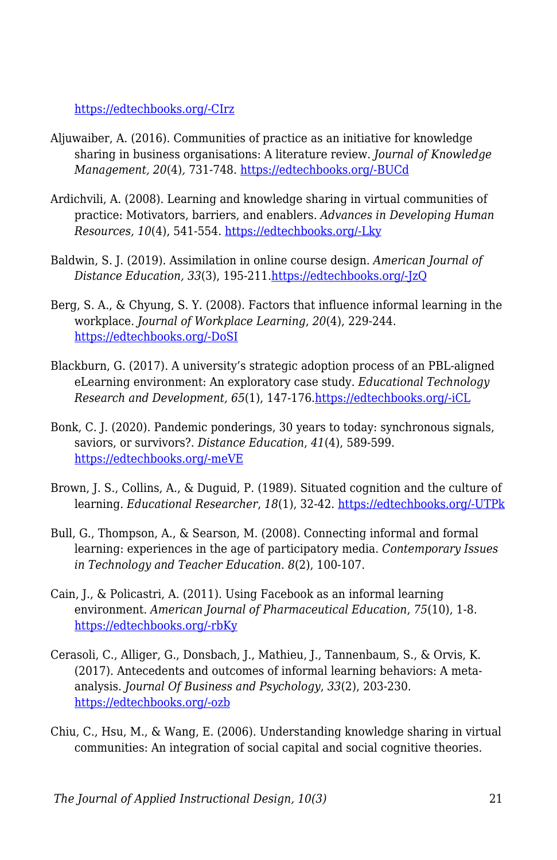[https://edtechbooks.org/-CIrz](https://help.crowdtangle.com/en/articles/4201940-about-us)

- Aljuwaiber, A. (2016). Communities of practice as an initiative for knowledge sharing in business organisations: A literature review. *Journal of Knowledge Management, 20*(4)*,* 731-748. [https://edtechbooks.org/-BUCd](https://doi.org/10.1108/JKM-12-2015-0494)
- Ardichvili, A. (2008). Learning and knowledge sharing in virtual communities of practice: Motivators, barriers, and enablers. *Advances in Developing Human Resources, 10*(4), 541-554. [https://edtechbooks.org/-Lky](https://doi.org/10.1177/1523422308319536)
- Baldwin, S. J. (2019). Assimilation in online course design. *American Journal of Distance Education, 33*(3), 195-211[.https://edtechbooks.org/-JzQ](https://doi.org/10.1080/08923647.2019.1610304)
- Berg, S. A., & Chyung, S. Y. (2008). Factors that influence informal learning in the workplace. *Journal of Workplace Learning*, *20*(4), 229-244. [https://edtechbooks.org/-DoSI](https://doi.org/10.1108/13665620810871097)
- Blackburn, G. (2017). A university's strategic adoption process of an PBL-aligned eLearning environment: An exploratory case study. *Educational Technology Research and Development, 65*(1), 147-176[.https://edtechbooks.org/-iCL](https://doi-org.proxyiub.uits.iu.edu/10.1007/s11423-016-94)
- Bonk, C. J. (2020). Pandemic ponderings, 30 years to today: synchronous signals, saviors, or survivors?. *Distance Education*, *41*(4), 589-599. [https://edtechbooks.org/-meVE](https://doi.org/10.1080/01587919.2020.1821610)
- Brown, J. S., Collins, A., & Duguid, P. (1989). Situated cognition and the culture of learning. *Educational Researcher*, *18*(1), 32-42. [https://edtechbooks.org/-UTPk](https://doi.org/10.3102%2F0013189X018001032)
- Bull, G., Thompson, A., & Searson, M. (2008). Connecting informal and formal learning: experiences in the age of participatory media. *Contemporary Issues in Technology and Teacher Education*. *8*(2), 100-107.
- Cain, J., & Policastri, A. (2011). Using Facebook as an informal learning environment. *American Journal of Pharmaceutical Education*, *75*(10), 1-8. [https://edtechbooks.org/-rbKy](https://doi.org/10.5688/ajpe7510207)
- Cerasoli, C., Alliger, G., Donsbach, J., Mathieu, J., Tannenbaum, S., & Orvis, K. (2017). Antecedents and outcomes of informal learning behaviors: A metaanalysis. *Journal Of Business and Psychology*, *33*(2), 203-230. [https://edtechbooks.org/-ozb](https://doi.org/10.1007/s10869-017-9492-y)
- Chiu, C., Hsu, M., & Wang, E. (2006). Understanding knowledge sharing in virtual communities: An integration of social capital and social cognitive theories.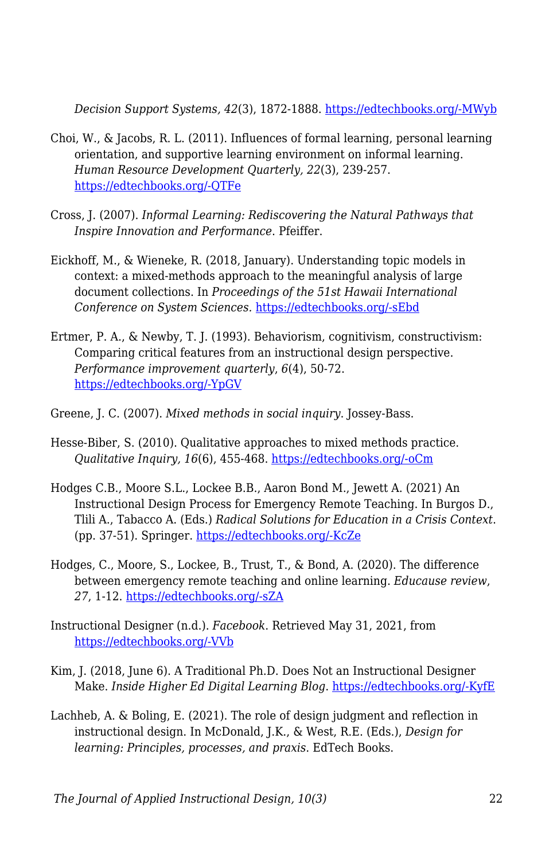*Decision Support Systems, 42*(3), 1872-1888. [https://edtechbooks.org/-MWyb](https://doi.org/10.1016/j.dss.2006.04.001)

- Choi, W., & Jacobs, R. L. (2011). Influences of formal learning, personal learning orientation, and supportive learning environment on informal learning. *Human Resource Development Quarterly, 22*(3), 239-257. [https://edtechbooks.org/-QTFe](https://doi.org/10.1002/hrdq.20078)
- Cross, J. (2007). *Informal Learning: Rediscovering the Natural Pathways that Inspire Innovation and Performance*. Pfeiffer.
- Eickhoff, M., & Wieneke, R. (2018, January). Understanding topic models in context: a mixed-methods approach to the meaningful analysis of large document collections. In *Proceedings of the 51st Hawaii International Conference on System Sciences.* [https://edtechbooks.org/-sEbd](http://hdl.handle.net/10125/50000)
- Ertmer, P. A., & Newby, T. J. (1993). Behaviorism, cognitivism, constructivism: Comparing critical features from an instructional design perspective. *Performance improvement quarterly*, *6*(4), 50-72. [https://edtechbooks.org/-YpGV](https://doi.org/10.1111/j.1937-8327.1993.tb00605.x)
- Greene, J. C. (2007). *Mixed methods in social inquiry*. Jossey-Bass.
- Hesse-Biber, S. (2010). Qualitative approaches to mixed methods practice. *Qualitative Inquiry, 16*(6), 455-468. [https://edtechbooks.org/-oCm](https://doi.org/10.1177%2F1077800410364611)
- Hodges C.B., Moore S.L., Lockee B.B., Aaron Bond M., Jewett A. (2021) An Instructional Design Process for Emergency Remote Teaching. In Burgos D., Tlili A., Tabacco A. (Eds.) *Radical Solutions for Education in a Crisis Context*. (pp. 37-51). Springer. [https://edtechbooks.org/-KcZe](https://doi.org/10.1007/978-981-15-7869-4_3)
- Hodges, C., Moore, S., Lockee, B., Trust, T., & Bond, A. (2020). The difference between emergency remote teaching and online learning. *Educause review*, *27*, 1-12. [https://edtechbooks.org/-sZA](https://er.educause.edu/articles/2020/3/the-difference-between-emergency-remote-teaching-and-online-learning)
- Instructional Designer (n.d.). *Facebook*. Retrieved May 31, 2021, from [https://edtechbooks.org/-VVb](https://www.facebook.com/groups/idesigner)
- Kim, J. (2018, June 6). A Traditional Ph.D. Does Not an Instructional Designer Make. *Inside Higher Ed Digital Learning Blog*. [https://edtechbooks.org/-KyfE](https://www.insidehighered.com/digital-learning/blogs/technology-and-learning/traditional-phd-does-not-instructional-designer-make)
- Lachheb, A. & Boling, E. (2021). The role of design judgment and reflection in instructional design. In McDonald, J.K., & West, R.E. (Eds.), *Design for learning: Principles, processes, and praxis*. EdTech Books.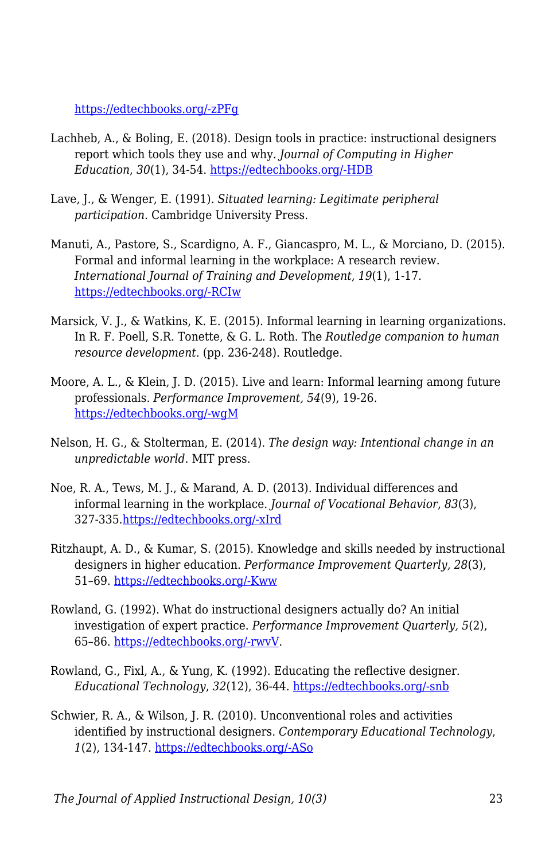[https://edtechbooks.org/-zPFg](https://edtechbooks.org/id/design_judgment)

- Lachheb, A., & Boling, E. (2018). Design tools in practice: instructional designers report which tools they use and why. *Journal of Computing in Higher Education*, *30*(1), 34-54. [https://edtechbooks.org/-HDB](https://doi.org/10.1007/s12528-017-9165-x)
- Lave, J., & Wenger, E. (1991). *Situated learning: Legitimate peripheral participation*. Cambridge University Press.
- Manuti, A., Pastore, S., Scardigno, A. F., Giancaspro, M. L., & Morciano, D. (2015). Formal and informal learning in the workplace: A research review. *International Journal of Training and Development*, *19*(1), 1-17. [https://edtechbooks.org/-RCIw](https://doi.org/10.1111/ijtd.12044)
- Marsick, V. J., & Watkins, K. E. (2015). Informal learning in learning organizations. In R. F. Poell, S.R. Tonette, & G. L. Roth. The *Routledge companion to human resource development*. (pp. 236-248). Routledge.
- Moore, A. L., & Klein, J. D. (2015). Live and learn: Informal learning among future professionals. *Performance Improvement, 54*(9), 19-26. [https://edtechbooks.org/-wgM](https://doi.org/10.1002/pfi.21530)
- Nelson, H. G., & Stolterman, E. (2014). *The design way: Intentional change in an unpredictable world*. MIT press.
- Noe, R. A., Tews, M. J., & Marand, A. D. (2013). Individual differences and informal learning in the workplace. *Journal of Vocational Behavior*, *83*(3), 327-335[.https://edtechbooks.org/-xIrd](https://doi.org/10.1016/j.jvb.2013.06.009)
- Ritzhaupt, A. D., & Kumar, S. (2015). Knowledge and skills needed by instructional designers in higher education. *Performance Improvement Quarterly, 28*(3), 51–69. [https://edtechbooks.org/-Kww](https://doi.org/10.1002/piq.21196)
- Rowland, G. (1992). What do instructional designers actually do? An initial investigation of expert practice. *Performance Improvement Quarterly, 5*(2), 65–86. [https://edtechbooks.org/-rwvV](https://doi.org/10.1111/j.1937-8327.1992.tb00546.x).
- Rowland, G., Fixl, A., & Yung, K. (1992). Educating the reflective designer. *Educational Technology*, *32*(12), 36-44. [https://edtechbooks.org/-snb](https://www.jstor.org/stable/44425566)
- Schwier, R. A., & Wilson, J. R. (2010). Unconventional roles and activities identified by instructional designers. *Contemporary Educational Technology*, *1*(2), 134-147. [https://edtechbooks.org/-ASo](https://doi.org/10.30935/cedtech/5970)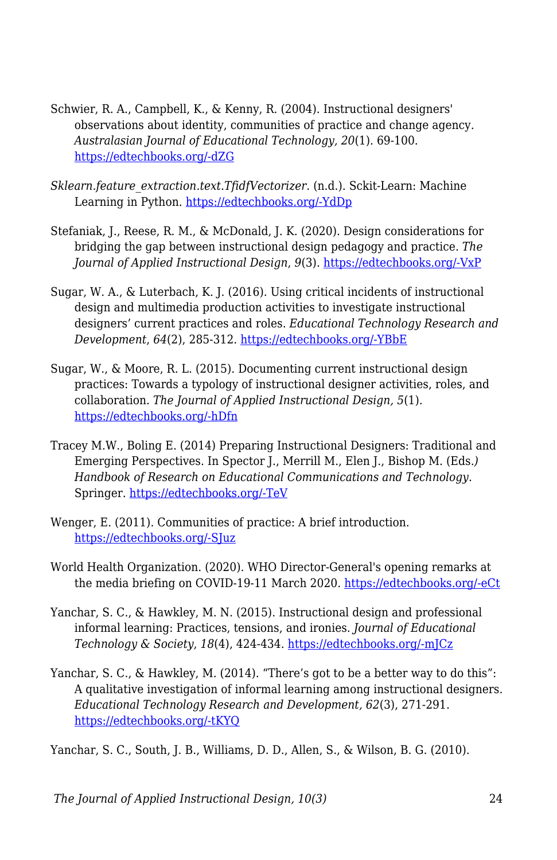- Schwier, R. A., Campbell, K., & Kenny, R. (2004). Instructional designers' observations about identity, communities of practice and change agency. *Australasian Journal of Educational Technology, 20*(1). 69-100. [https://edtechbooks.org/-dZG](https://doi.org/10.14742/ajet.1368)
- *Sklearn.feature\_extraction.text.TfidfVectorizer*. (n.d.). Sckit-Learn: Machine Learning in Python. [https://edtechbooks.org/-YdDp](https://scikit-learn.org/stable/modules/generated/sklearn.feature_extraction.text.TfidfVectorizer.html)
- Stefaniak, J., Reese, R. M., & McDonald, J. K. (2020). Design considerations for bridging the gap between instructional design pedagogy and practice. *The Journal of Applied Instructional Design*, *9*(3). [https://edtechbooks.org/-VxP](https://dx.doi.org/10.51869/93jsrmrjkmd)
- Sugar, W. A., & Luterbach, K. J. (2016). Using critical incidents of instructional design and multimedia production activities to investigate instructional designers' current practices and roles. *Educational Technology Research and Development*, *64*(2), 285-312. [https://edtechbooks.org/-YBbE](https://doi.org/10.1007/s11423-015-9414-5)
- Sugar, W., & Moore, R. L. (2015). Documenting current instructional design practices: Towards a typology of instructional designer activities, roles, and collaboration. *The Journal of Applied Instructional Design, 5*(1). [https://edtechbooks.org/-hDfn](https://digitalcommons.odu.edu/stemps_fac_pubs/104/)
- Tracey M.W., Boling E. (2014) Preparing Instructional Designers: Traditional and Emerging Perspectives. In Spector J., Merrill M., Elen J., Bishop M. (Eds*.) Handbook of Research on Educational Communications and Technology*. Springer. [https://edtechbooks.org/-TeV](https://doi.org/10.1007/978-1-4614-3185-5_52)
- Wenger, E. (2011). Communities of practice: A brief introduction. [https://edtechbooks.org/-SJuz](http://hdl.handle.net/1794/11736)
- World Health Organization. (2020). WHO Director-General's opening remarks at the media briefing on COVID-19-11 March 2020. [https://edtechbooks.org/-eCt](https://www.who.int/director-general/speeches/detail/who-director-general-s-opening-remarks-at-the-media-briefing-on-covid-19---11-march-2020)
- Yanchar, S. C., & Hawkley, M. N. (2015). Instructional design and professional informal learning: Practices, tensions, and ironies. *Journal of Educational Technology & Society*, *18*(4), 424-434. [https://edtechbooks.org/-mJCz](https://www.jstor.org/stable/jeductechsoci.18.4.424)
- Yanchar, S. C., & Hawkley, M. (2014). "There's got to be a better way to do this": A qualitative investigation of informal learning among instructional designers. *Educational Technology Research and Development, 62*(3), 271-291. [https://edtechbooks.org/-tKYQ](https://doi.org/10.1007/s11423-014-9336-7)

Yanchar, S. C., South, J. B., Williams, D. D., Allen, S., & Wilson, B. G. (2010).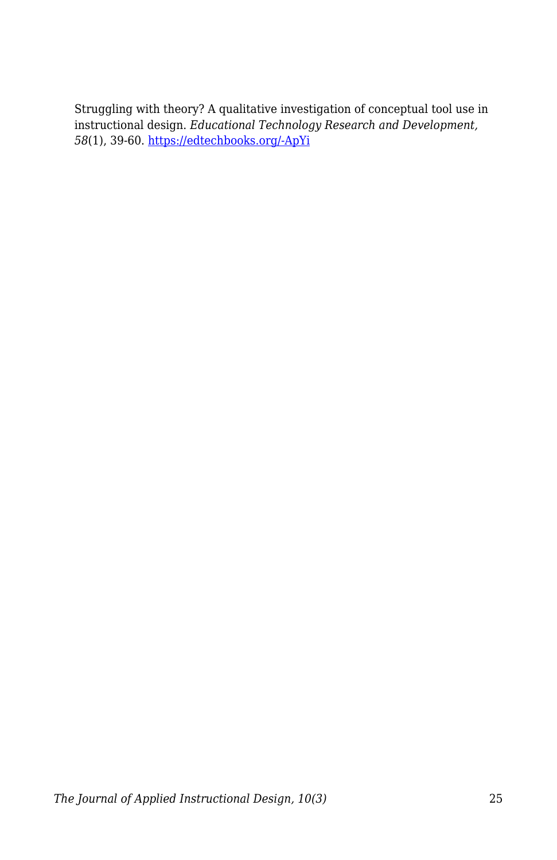Struggling with theory? A qualitative investigation of conceptual tool use in instructional design. *Educational Technology Research and Development, 58*(1), 39-60. [https://edtechbooks.org/-ApYi](https://doi.org/10.1007/s11423-009-9129-6)